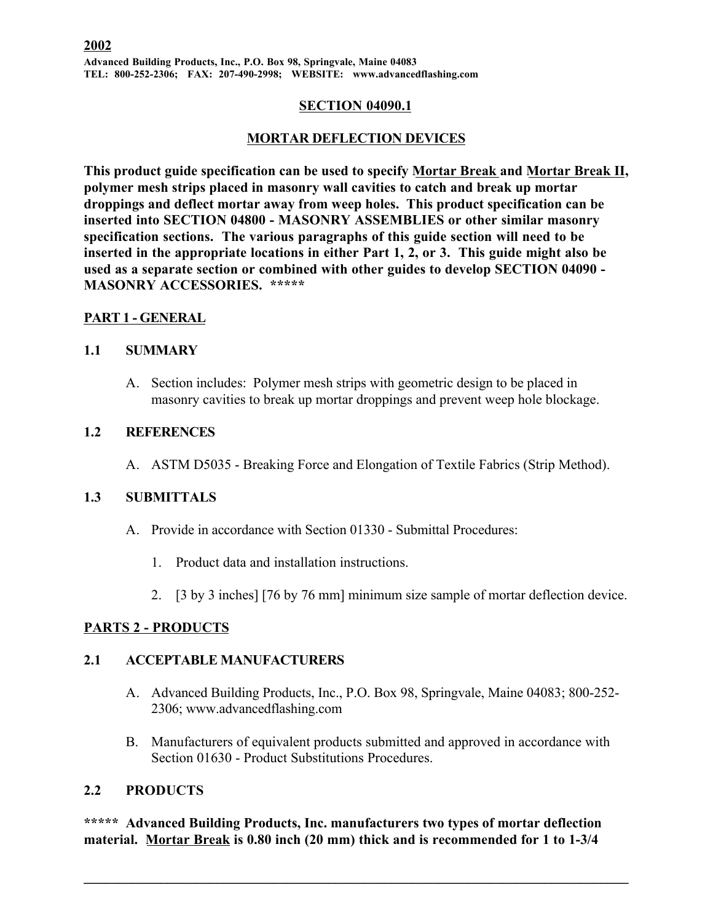#### **SECTION 04090.1**

## **MORTAR DEFLECTION DEVICES**

**This product guide specification can be used to specify Mortar Break and Mortar Break II, polymer mesh strips placed in masonry wall cavities to catch and break up mortar droppings and deflect mortar away from weep holes. This product specification can be inserted into SECTION 04800 - MASONRY ASSEMBLIES or other similar masonry specification sections. The various paragraphs of this guide section will need to be inserted in the appropriate locations in either Part 1, 2, or 3. This guide might also be used as a separate section or combined with other guides to develop SECTION 04090 - MASONRY ACCESSORIES. \*\*\*\*\***

## **PART 1 - GENERAL**

#### **1.1 SUMMARY**

A. Section includes: Polymer mesh strips with geometric design to be placed in masonry cavities to break up mortar droppings and prevent weep hole blockage.

## **1.2 REFERENCES**

A. ASTM D5035 - Breaking Force and Elongation of Textile Fabrics (Strip Method).

## **1.3 SUBMITTALS**

- A. Provide in accordance with Section 01330 Submittal Procedures:
	- 1. Product data and installation instructions.
	- 2. [3 by 3 inches] [76 by 76 mm] minimum size sample of mortar deflection device.

## **PARTS 2 - PRODUCTS**

#### **2.1 ACCEPTABLE MANUFACTURERS**

- A. Advanced Building Products, Inc., P.O. Box 98, Springvale, Maine 04083; 800-252- 2306; www.advancedflashing.com
- B. Manufacturers of equivalent products submitted and approved in accordance with Section 01630 - Product Substitutions Procedures.

## **2.2 PRODUCTS**

**\*\*\*\*\* Advanced Building Products, Inc. manufacturers two types of mortar deflection material. Mortar Break is 0.80 inch (20 mm) thick and is recommended for 1 to 1-3/4**

 $\mathcal{L}_\mathcal{L} = \{ \mathcal{L}_\mathcal{L} = \{ \mathcal{L}_\mathcal{L} = \{ \mathcal{L}_\mathcal{L} = \{ \mathcal{L}_\mathcal{L} = \{ \mathcal{L}_\mathcal{L} = \{ \mathcal{L}_\mathcal{L} = \{ \mathcal{L}_\mathcal{L} = \{ \mathcal{L}_\mathcal{L} = \{ \mathcal{L}_\mathcal{L} = \{ \mathcal{L}_\mathcal{L} = \{ \mathcal{L}_\mathcal{L} = \{ \mathcal{L}_\mathcal{L} = \{ \mathcal{L}_\mathcal{L} = \{ \mathcal{L}_\mathcal{$